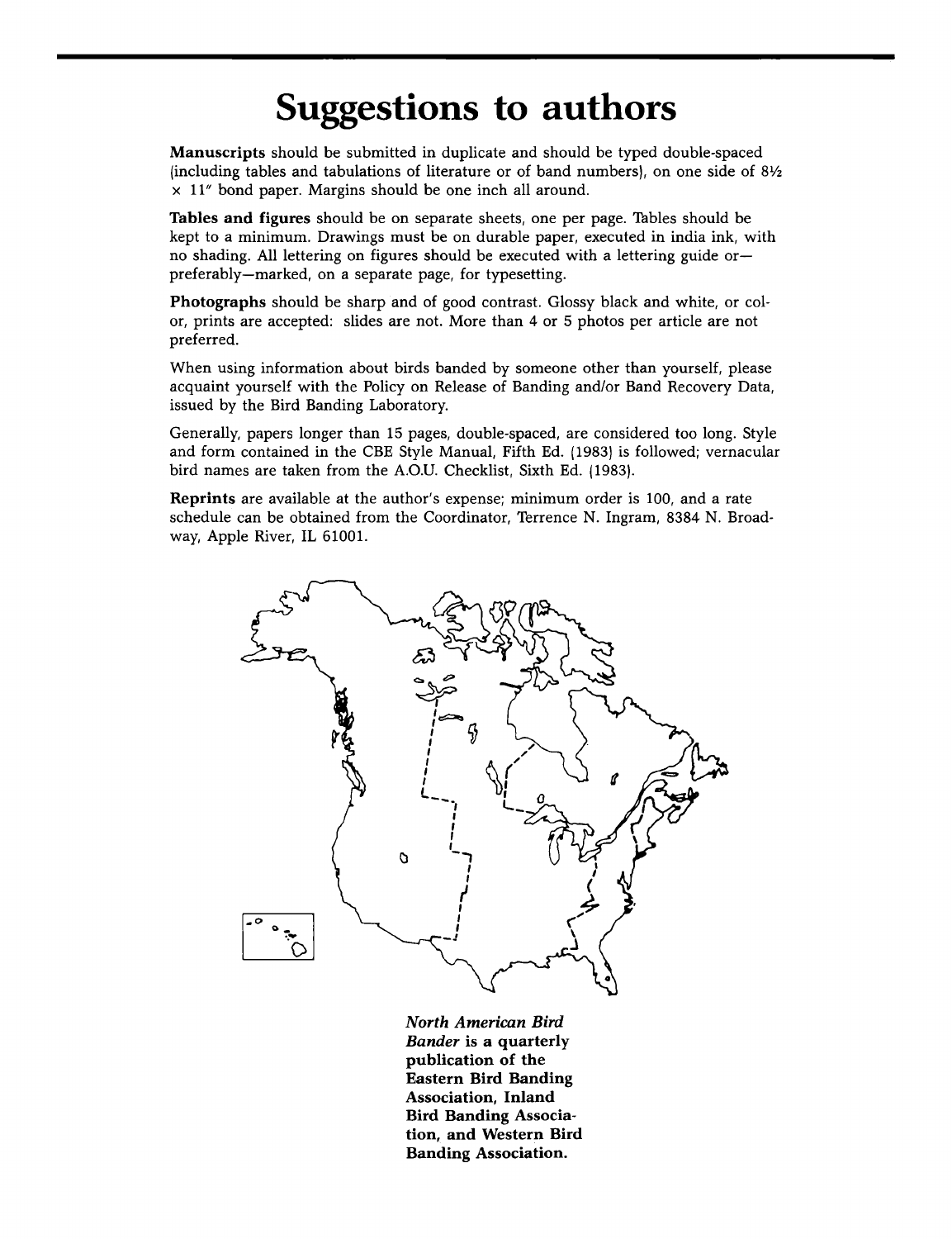## **Suggestions to authors**

**Manuscripts should be submitted in duplicate and should be typed double-spaced {including tables and tabulations of literature or of band numbers I, on one side of 8V2 x 11" bond paper. Margins should be one inch all around.** 

**Tables and figures should be on separate sheets, one per page. Tables should be kept to a minimum. Drawings must be on durable paper, executed in india ink, with no shading. All lettering on figures should be executed with a lettering guide or- preferably--marked, on a separate page, for typesetting.** 

**Photographs should be sharp and of good contrast. Glossy black and white, or color, prints are accepted: slides are not. More than 4 or 5 photos per article are not preferred.** 

**When using information about birds banded by someone other than yourself, please acquaint yourself with the Policy on Release of Banding and/or Band Recovery Data, issued by the Bird Banding Laboratory.** 

**Generally, papers longer than 15 pages, double-spaced, are considered too long. Style and form contained in the CBE Style Manual, Fifth Ed. {1983) is followed; vernacular bird names are taken from the A.O.U. Checklist, Sixth Ed. {1983 I.** 

**Reprints are available at the author's expense; minimum order is 100, and a rate schedule can be obtained from the Coordinator, Terrence N. Ingram, 8384 N. Broadway, Apple River, IL 61001.** 



**North American Bird Bander is a quarterly publication of the Eastern Bird Banding Association, Inland Bird Banding Association, and Western Bird Banding Association.**